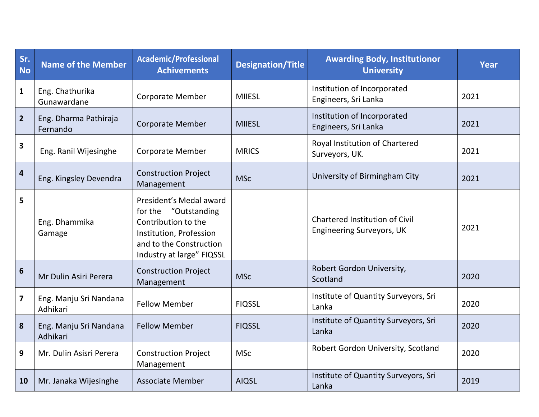| Sr.<br><b>No</b>        | <b>Name of the Member</b>          | <b>Academic/Professional</b><br><b>Achivements</b>                                                                                                        | <b>Designation/Title</b> | <b>Awarding Body, Institutionor</b><br><b>University</b>                  | <b>Year</b> |
|-------------------------|------------------------------------|-----------------------------------------------------------------------------------------------------------------------------------------------------------|--------------------------|---------------------------------------------------------------------------|-------------|
| $\mathbf{1}$            | Eng. Chathurika<br>Gunawardane     | <b>Corporate Member</b>                                                                                                                                   | <b>MIIESL</b>            | Institution of Incorporated<br>Engineers, Sri Lanka                       | 2021        |
| $\overline{2}$          | Eng. Dharma Pathiraja<br>Fernando  | <b>Corporate Member</b>                                                                                                                                   | <b>MIIESL</b>            | Institution of Incorporated<br>Engineers, Sri Lanka                       | 2021        |
| $\overline{\mathbf{3}}$ | Eng. Ranil Wijesinghe              | <b>Corporate Member</b>                                                                                                                                   | <b>MRICS</b>             | Royal Institution of Chartered<br>Surveyors, UK.                          | 2021        |
| $\overline{\mathbf{4}}$ | Eng. Kingsley Devendra             | <b>Construction Project</b><br>Management                                                                                                                 | <b>MSc</b>               | University of Birmingham City                                             | 2021        |
| 5                       | Eng. Dhammika<br>Gamage            | President's Medal award<br>for the "Outstanding<br>Contribution to the<br>Institution, Profession<br>and to the Construction<br>Industry at large" FIQSSL |                          | <b>Chartered Institution of Civil</b><br><b>Engineering Surveyors, UK</b> | 2021        |
| $6\phantom{1}$          | Mr Dulin Asiri Perera              | <b>Construction Project</b><br>Management                                                                                                                 | <b>MSc</b>               | Robert Gordon University,<br>Scotland                                     | 2020        |
| $\overline{\mathbf{z}}$ | Eng. Manju Sri Nandana<br>Adhikari | <b>Fellow Member</b>                                                                                                                                      | <b>FIQSSL</b>            | Institute of Quantity Surveyors, Sri<br>Lanka                             | 2020        |
| 8                       | Eng. Manju Sri Nandana<br>Adhikari | <b>Fellow Member</b>                                                                                                                                      | <b>FIQSSL</b>            | Institute of Quantity Surveyors, Sri<br>Lanka                             | 2020        |
| 9                       | Mr. Dulin Asisri Perera            | <b>Construction Project</b><br>Management                                                                                                                 | <b>MSc</b>               | Robert Gordon University, Scotland                                        | 2020        |
| 10                      | Mr. Janaka Wijesinghe              | <b>Associate Member</b>                                                                                                                                   | <b>AIQSL</b>             | Institute of Quantity Surveyors, Sri<br>Lanka                             | 2019        |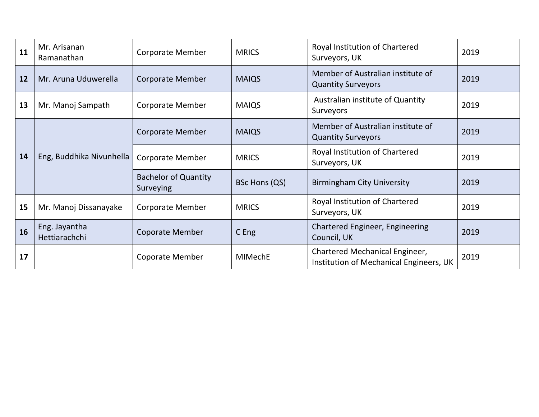| 11 | Mr. Arisanan<br>Ramanathan     | <b>Corporate Member</b>                  | <b>MRICS</b>  | Royal Institution of Chartered<br>Surveyors, UK                           | 2019 |
|----|--------------------------------|------------------------------------------|---------------|---------------------------------------------------------------------------|------|
| 12 | Mr. Aruna Uduwerella           | <b>Corporate Member</b>                  | <b>MAIQS</b>  | Member of Australian institute of<br><b>Quantity Surveyors</b>            | 2019 |
| 13 | Mr. Manoj Sampath              | <b>Corporate Member</b>                  | <b>MAIQS</b>  | Australian institute of Quantity<br>Surveyors                             | 2019 |
| 14 | Eng, Buddhika Nivunhella       | <b>Corporate Member</b>                  | <b>MAIQS</b>  | Member of Australian institute of<br><b>Quantity Surveyors</b>            | 2019 |
|    |                                | <b>Corporate Member</b>                  | <b>MRICS</b>  | Royal Institution of Chartered<br>Surveyors, UK                           | 2019 |
|    |                                | <b>Bachelor of Quantity</b><br>Surveying | BSc Hons (QS) | <b>Birmingham City University</b>                                         | 2019 |
| 15 | Mr. Manoj Dissanayake          | <b>Corporate Member</b>                  | <b>MRICS</b>  | Royal Institution of Chartered<br>Surveyors, UK                           | 2019 |
| 16 | Eng. Jayantha<br>Hettiarachchi | Coporate Member                          | C Eng         | <b>Chartered Engineer, Engineering</b><br>Council, UK                     | 2019 |
| 17 |                                | <b>Coporate Member</b>                   | MIMechE       | Chartered Mechanical Engineer,<br>Institution of Mechanical Engineers, UK | 2019 |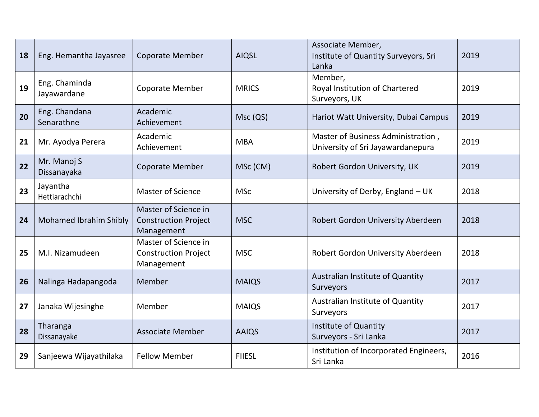| 18 | Eng. Hemantha Jayasree        | <b>Coporate Member</b>                                            | <b>AIQSL</b>  | Associate Member,<br>Institute of Quantity Surveyors, Sri<br>Lanka      | 2019 |
|----|-------------------------------|-------------------------------------------------------------------|---------------|-------------------------------------------------------------------------|------|
| 19 | Eng. Chaminda<br>Jayawardane  | <b>Coporate Member</b>                                            | <b>MRICS</b>  | Member,<br>Royal Institution of Chartered<br>Surveyors, UK              | 2019 |
| 20 | Eng. Chandana<br>Senarathne   | Academic<br>Achievement                                           | Msc (QS)      | Hariot Watt University, Dubai Campus                                    | 2019 |
| 21 | Mr. Ayodya Perera             | Academic<br>Achievement                                           | <b>MBA</b>    | Master of Business Administration,<br>University of Sri Jayawardanepura | 2019 |
| 22 | Mr. Manoj S<br>Dissanayaka    | <b>Coporate Member</b>                                            | MSc (CM)      | Robert Gordon University, UK                                            | 2019 |
| 23 | Jayantha<br>Hettiarachchi     | <b>Master of Science</b>                                          | <b>MSc</b>    | University of Derby, England - UK                                       | 2018 |
| 24 | <b>Mohamed Ibrahim Shibly</b> | Master of Science in<br><b>Construction Project</b><br>Management | <b>MSC</b>    | Robert Gordon University Aberdeen                                       | 2018 |
| 25 | M.I. Nizamudeen               | Master of Science in<br><b>Construction Project</b><br>Management | <b>MSC</b>    | Robert Gordon University Aberdeen                                       | 2018 |
| 26 | Nalinga Hadapangoda           | Member                                                            | <b>MAIQS</b>  | Australian Institute of Quantity<br>Surveyors                           | 2017 |
| 27 | Janaka Wijesinghe             | Member                                                            | <b>MAIQS</b>  | Australian Institute of Quantity<br>Surveyors                           | 2017 |
| 28 | Tharanga<br>Dissanayake       | <b>Associate Member</b>                                           | <b>AAIQS</b>  | Institute of Quantity<br>Surveyors - Sri Lanka                          | 2017 |
| 29 | Sanjeewa Wijayathilaka        | <b>Fellow Member</b>                                              | <b>FIIESL</b> | Institution of Incorporated Engineers,<br>Sri Lanka                     | 2016 |